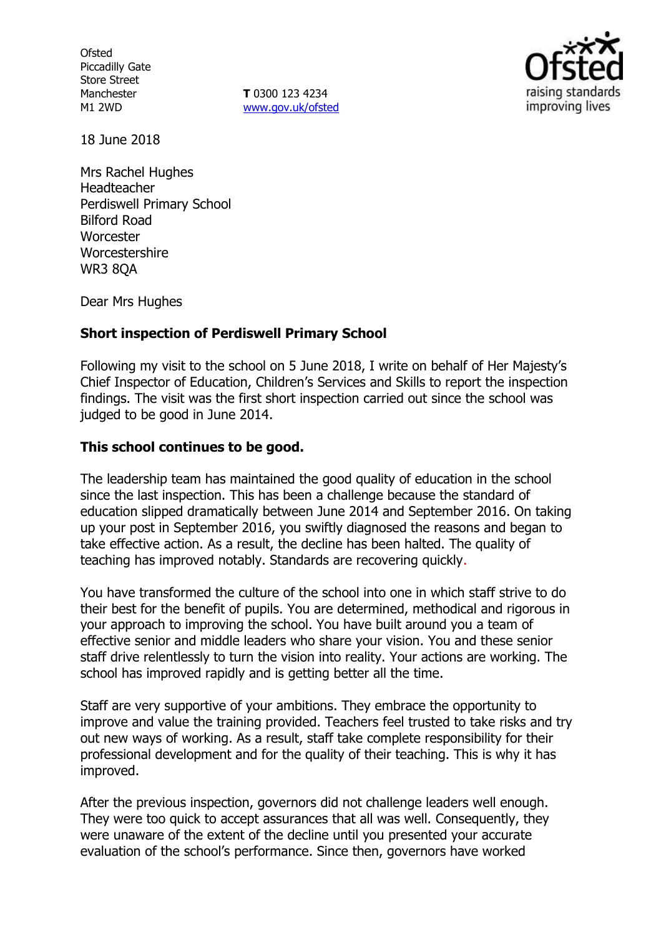**Ofsted** Piccadilly Gate Store Street Manchester M1 2WD

**T** 0300 123 4234 www.gov.uk/ofsted



18 June 2018

Mrs Rachel Hughes Headteacher Perdiswell Primary School Bilford Road **Worcester** Worcestershire WR3 8QA

Dear Mrs Hughes

## **Short inspection of Perdiswell Primary School**

Following my visit to the school on 5 June 2018, I write on behalf of Her Majesty's Chief Inspector of Education, Children's Services and Skills to report the inspection findings. The visit was the first short inspection carried out since the school was judged to be good in June 2014.

### **This school continues to be good.**

The leadership team has maintained the good quality of education in the school since the last inspection. This has been a challenge because the standard of education slipped dramatically between June 2014 and September 2016. On taking up your post in September 2016, you swiftly diagnosed the reasons and began to take effective action. As a result, the decline has been halted. The quality of teaching has improved notably. Standards are recovering quickly.

You have transformed the culture of the school into one in which staff strive to do their best for the benefit of pupils. You are determined, methodical and rigorous in your approach to improving the school. You have built around you a team of effective senior and middle leaders who share your vision. You and these senior staff drive relentlessly to turn the vision into reality. Your actions are working. The school has improved rapidly and is getting better all the time.

Staff are very supportive of your ambitions. They embrace the opportunity to improve and value the training provided. Teachers feel trusted to take risks and try out new ways of working. As a result, staff take complete responsibility for their professional development and for the quality of their teaching. This is why it has improved.

After the previous inspection, governors did not challenge leaders well enough. They were too quick to accept assurances that all was well. Consequently, they were unaware of the extent of the decline until you presented your accurate evaluation of the school's performance. Since then, governors have worked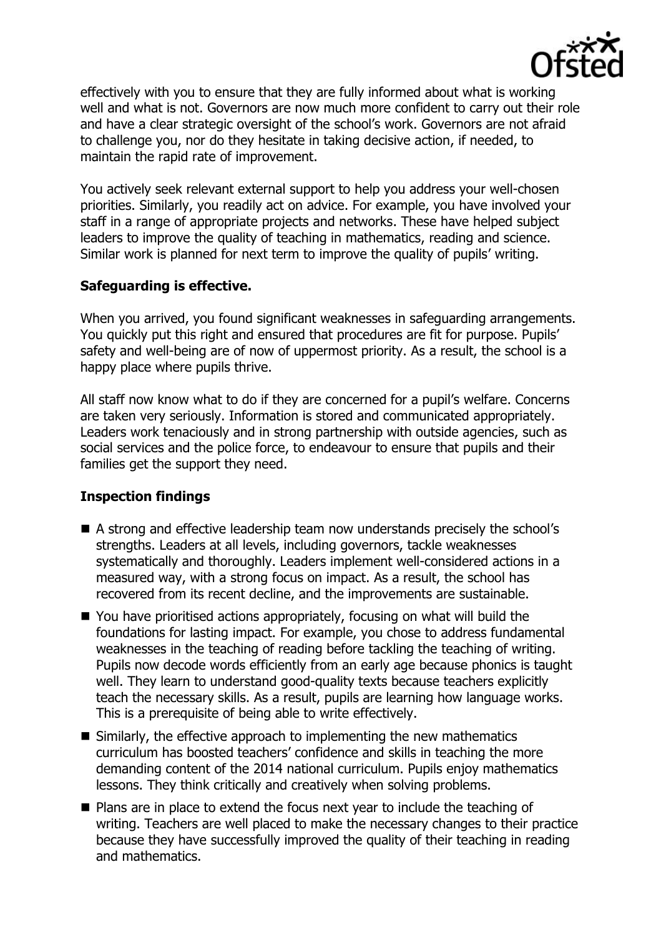

effectively with you to ensure that they are fully informed about what is working well and what is not. Governors are now much more confident to carry out their role and have a clear strategic oversight of the school's work. Governors are not afraid to challenge you, nor do they hesitate in taking decisive action, if needed, to maintain the rapid rate of improvement.

You actively seek relevant external support to help you address your well-chosen priorities. Similarly, you readily act on advice. For example, you have involved your staff in a range of appropriate projects and networks. These have helped subject leaders to improve the quality of teaching in mathematics, reading and science. Similar work is planned for next term to improve the quality of pupils' writing.

# **Safeguarding is effective.**

When you arrived, you found significant weaknesses in safeguarding arrangements. You quickly put this right and ensured that procedures are fit for purpose. Pupils' safety and well-being are of now of uppermost priority. As a result, the school is a happy place where pupils thrive.

All staff now know what to do if they are concerned for a pupil's welfare. Concerns are taken very seriously. Information is stored and communicated appropriately. Leaders work tenaciously and in strong partnership with outside agencies, such as social services and the police force, to endeavour to ensure that pupils and their families get the support they need.

## **Inspection findings**

- A strong and effective leadership team now understands precisely the school's strengths. Leaders at all levels, including governors, tackle weaknesses systematically and thoroughly. Leaders implement well-considered actions in a measured way, with a strong focus on impact. As a result, the school has recovered from its recent decline, and the improvements are sustainable.
- You have prioritised actions appropriately, focusing on what will build the foundations for lasting impact. For example, you chose to address fundamental weaknesses in the teaching of reading before tackling the teaching of writing. Pupils now decode words efficiently from an early age because phonics is taught well. They learn to understand good-quality texts because teachers explicitly teach the necessary skills. As a result, pupils are learning how language works. This is a prerequisite of being able to write effectively.
- Similarly, the effective approach to implementing the new mathematics curriculum has boosted teachers' confidence and skills in teaching the more demanding content of the 2014 national curriculum. Pupils enjoy mathematics lessons. They think critically and creatively when solving problems.
- **Plans are in place to extend the focus next year to include the teaching of** writing. Teachers are well placed to make the necessary changes to their practice because they have successfully improved the quality of their teaching in reading and mathematics.